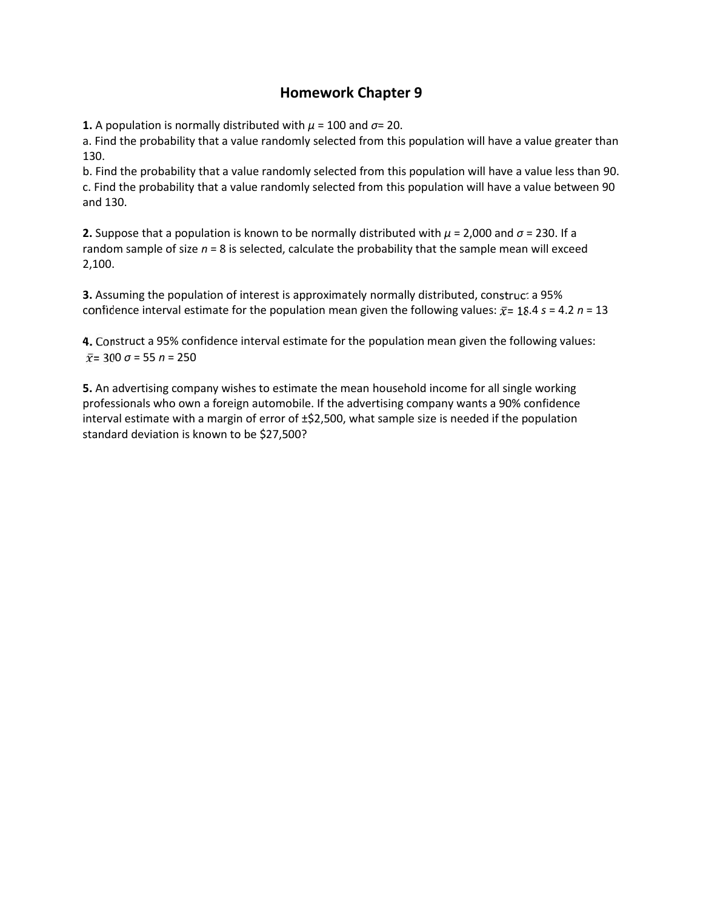## **Homework Chapter 9**

**1.** A population is normally distributed with  $\mu$  = 100 and  $\sigma$ = 20.

a. Find the probability that a value randomly selected from this population will have a value greater than 130.

b. Find the probability that a value randomly selected from this population will have a value less than 90. c. Find the probability that a value randomly selected from this population will have a value between 90 and 130.

**2.** Suppose that a population is known to be normally distributed with *μ* = 2,000 and *σ* = 230. If a random sample of size *n* = 8 is selected, calculate the probability that the sample mean will exceed 2,100.

**3.** Assuming the population of interest is approximately normally distributed, construct a 95% confidence interval estimate for the population mean given the following values:  $\bar{x}$  = 18.4  $s$  = 4.2  $n$  = 13

**4.** Construct a 95% confidence interval estimate for the population mean given the following values:  $\bar{x}$  = 300  $\sigma$  = 55  $n$  = 250

**5.** An advertising company wishes to estimate the mean household income for all single working professionals who own a foreign automobile. If the advertising company wants a 90% confidence interval estimate with a margin of error of  $\pm$ \$2,500, what sample size is needed if the population standard deviation is known to be \$27,500?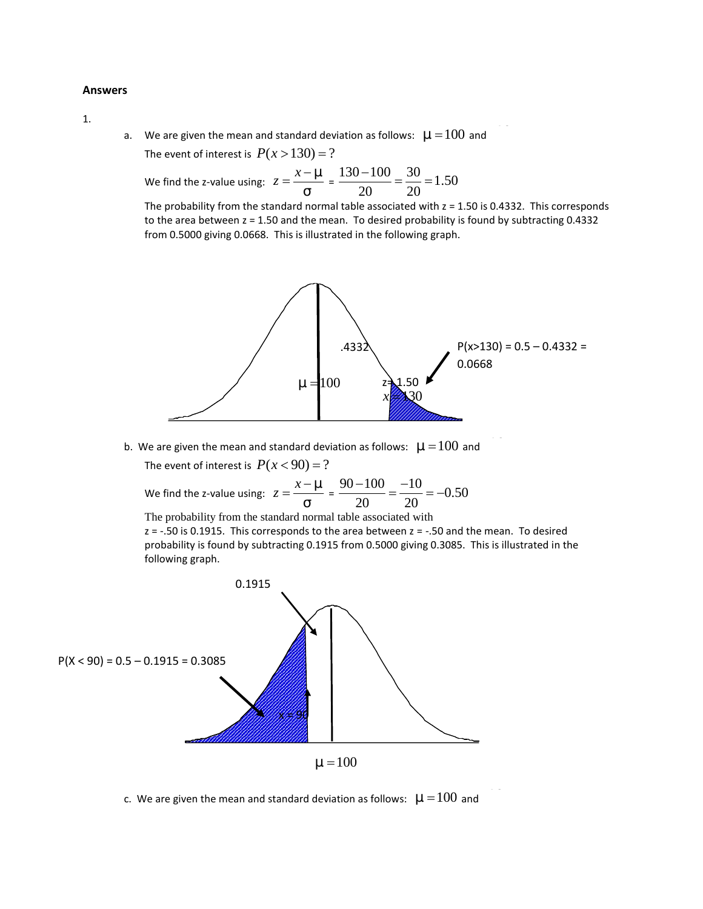## **Answers**

1.

a. We are given the mean and standard deviation as follows:  $\sim$  = 100 and  $200$ 

We find the z-value using:  $z = \frac{x - z}{1} = \frac{130 - 100}{20} = \frac{30}{20} = 1.50$ 

We are given the mean and standard deviation as follows:  $\sim$  = 100 and <sup>---</sup> .<br>The event of interest is  $P(x > 130) = ?$ <br>We find the z-value using:  $z = \frac{x - \gamma}{\tau} = \frac{130 - 100}{20} = \frac{30}{20} = 1.50$ <br>The probability from the stan candard deviation as follows:  $\sim = 100$  and  $\frac{1}{100}$ <br>  $\approx$  130 = ?<br>  $\frac{x - \kappa}{1} = \frac{130 - 100}{20} = \frac{30}{20} = 1.50$ <br>
dard normal table associated with  $z = 1.50$  is 0.4332. This corresponds<br>
and the mean. To desired probab n as follows:  $\sim$  = 100 and<br>  $\frac{20-100}{20} = \frac{30}{20} = 1.50$ <br>
e associated with z = 1.50 is 0.4332. This corresponds<br>
o desired probability is found by subtracting 0.4332<br>
in the following graph. bows:  $\sim$  = 100 and<br>=  $\frac{30}{20}$  = 1.50<br> $\frac{30}{20}$  ated with z = 1.50 is 0.4332. This corresponds<br>d probability is found by subtracting 0.4332<br>llowing graph. The probability from the standard normal table associated with  $z = 1.50$  is 0.4332. This corresponds to the area between z = 1.50 and the mean. To desired probability is found by subtracting 0.4332 from 0.5000 giving 0.0668. This is illustrated in the following graph.



b. We are given the mean and standard deviation as follows:  $\sim$  = 100 and

We find the z-value using:  $z = \frac{x - z}{1} = \frac{90 - 100}{20} = \frac{-10}{20} = -0.50$ 

The probability from the standard normal table associated with

 $z = -0.50$  is 0.1915. This corresponds to the area between  $z = -0.50$  and the mean. To desired probability is found by subtracting 0.1915 from 0.5000 giving 0.3085. This is illustrated in the following graph.



c. We are given the mean and standard deviation as follows:  $\sim$  = 100 and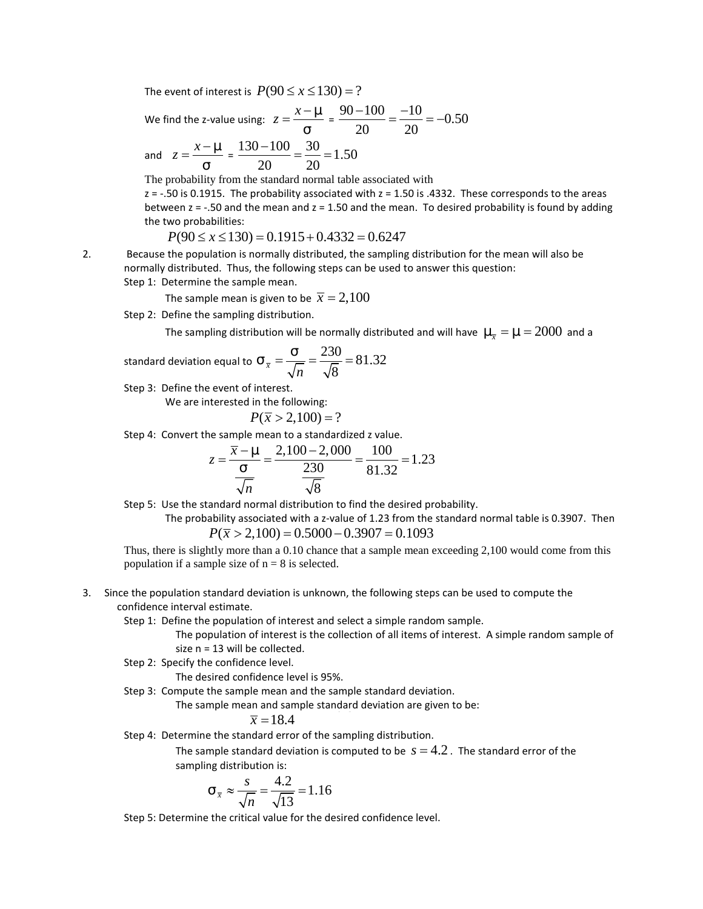The event of interest is  $P(90 \le x \le 130) = ?$ <br>We find the z-value using:  $z = \frac{x - \overline{z}}{1} = \frac{90 - 100}{20} = \frac{-10}{20} = -0.50$ <br>and  $z = \frac{x - \overline{z}}{1} = \frac{130 - 100}{20} = \frac{30}{20} = 1.50$ <br>The probability from the standard normal table We find the z-value using:  $z = \frac{x - z}{1} = \frac{90 - 100}{20} = \frac{-10}{20} = -0.50$ 

and  $z = \frac{x - z}{1} = \frac{130 - 100}{20} = \frac{30}{20} = 1.50$ 

 $\le x \le 130$  = ?<br>  $=\frac{x - (-)}{1} = \frac{90 - 100}{20} = \frac{-10}{20} = -0.50$ <br>  $\frac{0}{20} = \frac{30}{20} = 1.50$ <br>
alard normal table associated with<br>
ality associated with  $z = 1.50$  is .4332. These corresponds to the areas<br>
n and  $z = 1.50$  and th 20 20  $=\frac{-10}{20}$  = -0.50<br>iated with<br>= 1.50 is .4332. These corresponds to the areas ort of interest is  $P(90 \le x \le 130) = ?$ <br>
the z-value using:  $z = \frac{x - \gamma}{\gamma} = \frac{90 - 100}{20} = \frac{-10}{20} = -0.50$ <br>  $= \frac{x - \gamma}{\gamma} = \frac{130 - 100}{20} = \frac{30}{20} = 1.50$ <br>
bability from the standard normal table associated with<br>
is 0.1915. T  $P(90 \le x \le 130) = ?$ <br>  $g: z = \frac{x - 8}{1} = \frac{90 - 100}{20} = \frac{-10}{20} = -0.50$ <br>  $\frac{-100}{20} = \frac{30}{20} = 1.50$ <br>
standard normal table associated with<br>
robability associated with  $z = 1.50$  is .4332. These correspones<br>
in mean and  $z = 1.$  $x \le 130$  = ?<br>  $\frac{x - 8}{1} = \frac{90 - 100}{20} = \frac{-10}{20} = -0.50$ <br>  $\frac{30}{20} = 1.50$ <br>
d normal table associated with<br>
y associated with z = 1.50 is .4332. These corresponds to the areas<br>
and z = 1.50 and the mean. To desired prob The probability from the standard normal table associated with  $z = -0.50$  is 0.1915. The probability associated with  $z = 1.50$  is .4332. These corresponds to the areas between  $z = -.50$  and the mean and  $z = 1.50$  and the mean. To desired probability is found by adding the two probabilities: **Proven to finitenest is**  $P(90 \le x \le 130) = ?$ **<br>** *P* **and the z-value using:**  $z = \frac{x - z}{1} = \frac{90 - 100}{20} = \frac{-10}{20} = -0.50$ **<br>**  $z = \frac{x - z}{1} = \frac{130 - 100}{20} = \frac{30}{20} = 1.50$ **<br>
probability from the standard normal table associated with** event of interest is  $P(90 \le x \le 130) = ?$ <br>
find the z-value using:  $z = \frac{x - \gamma}{1} = \frac{90 - 100}{20} = \frac{-10}{20} = -0.50$ <br>  $z = \frac{x - \gamma}{1} = \frac{130 - 100}{20} = \frac{30}{20} = 1.50$ <br>
probability from the standard normal table associated with<br>  $z =$  $P(90 \le x \le 130) = ?$ <br>  $E: z = \frac{x - z}{1} = \frac{90 - 100}{20} = \frac{-10}{20} = -0.50$ <br>  $\frac{-100}{20} = \frac{30}{20} = 1.50$ <br>  $\frac{20}{20} = 1.50$ <br>
standard normal table associated with<br>
renden and  $z = 1.50$  is a 4332. These corresponds to the areas<br>
me *P*  $(90 \le x \le 130) = ?$ <br> *P*  $z = \frac{x - \epsilon}{t} = \frac{90 - 100}{20} = \frac{-10}{20} = -0.50$ <br>
<u>20</u>  $\frac{0 - 100}{20} = \frac{30}{20} = 1.50$ <br> **P** standard normal table associated with  $z = 1.50$  is A332. These corresponds to the areas standard normal ta  $z = \frac{x}{1} = \frac{y-5}{20} = \frac{1.00}{20} = \frac{1.00}{20} = -0.50$ <br>
Oldeard normal table associated with<br>
biblity associated with  $z = 1.50$  is .4332. These corresponds to the areas<br>
an and  $z = 1.50$  and the mean. To desired probability ising:  $z = \frac{x - 2}{1} = \frac{90 - 100}{20} = \frac{-10}{20} = -0.50$ <br>  $\frac{130 - 100}{20} = \frac{30}{20} = 1.50$ <br>
the standard normal table associated with<br>
the fundard mormal table associated with<br>
the mean and  $z = 1.50$  and the mean. To desired blue using:  $z = \frac{x - \epsilon}{1} = \frac{90 - 100}{20} = \frac{-10}{20} = -0.50$ <br>  $\frac{1}{20} = \frac{130 - 100}{20} = \frac{30}{20} = 1.50$ <br>
from the standard normal table associated with<br>
from the standard normal table associated with z = 1.50 is .4332. These *P* to m is standard anomal table associated with *z* = 1.50 is .4332. These corresponds to the areas<br>
50. The probability associated with *z* = 1.50) is .4332. These corresponds to the areas<br>
50.600 de the mean and *z* =

2. Because the population is normally distributed, the sampling distribution for the mean will also be normally distributed. Thus, the following steps can be used to answer this question: Step 1: Determine the sample mean.

The sample mean is given to be  $\bar{x} = 2,100$ 

Step 2: Define the sampling distribution.

standard deviation equal to 
$$
\frac{1}{x} = \frac{1}{\sqrt{n}} = \frac{230}{\sqrt{8}} = 81.32
$$

Step 3: Define the event of interest.

We are interested in the following:

$$
P(\overline{x} > 2,100) = ?
$$

Step 4: Convert the sample mean to a standardized z value.

The sample mean to a standardized z value.  
\n
$$
z = \frac{\overline{x} - \overline{z}}{1} = \frac{2,100 - 2,000}{30} = \frac{100}{81.32} = 1.23
$$
\n
$$
\frac{1}{\sqrt{n}} = \frac{230}{\sqrt{8}} = 1.23
$$
\n
$$
\frac{1}{\sqrt{n}} = \frac{2,100 - 2,000}{\sqrt{8}} = 1.23
$$
\n
$$
ability associated with u z-value of u is 27.3 for the standard normal distribution to find the desired probability.\nability associated with a z-value of u is 27.3 for the standard normal table is 0.3907. Then 
$$
P(\overline{x} > 2,100) = 0.5000 - 0.3907 = 0.1093
$$
\nfully more than a 0.10 chance that a sample mean exceeding 2,100 would come from this  
\nangle size of n = 8 is selected.

\ntandard deviation is unknown, the following steps can be used to compute the estimate.

\ne population of interest and select a simple random sample.

\nequation of interest is the collection of all items of interest. A simple random sample of 13 will be collected.

\nto findence level.

\nisired confidence level.

\nis the sample mean and the sample standard deviation are given to be:

\n
$$
\overline{x} = 18.4
$$
\nthe standard deviation is computed to be  $s = 4.2$ . The standard error of the  
\nreg distribution is:

\n
$$
1 \cdot \frac{s}{x} \approx \frac{s}{\sqrt{n}} = \frac{4.2}{\sqrt{13}} = 1.16
$$
\nthe critical value for the desired confidence level.
$$

Step 5: Use the standard normal distribution to find the desired probability.

The probability associated with a z-value of 1.23 from the standard normal table is 0.3907. Then

Thus, there is slightly more than a 0.10 chance that a sample mean exceeding 2,100 would come from this population if a sample size of  $n = 8$  is selected.

3. Since the population standard deviation is unknown, the following steps can be used to compute the confidence interval estimate.

Step 1: Define the population of interest and select a simple random sample.

The population of interest is the collection of all items of interest. A simple random sample of size n = 13 will be collected.

Step 2: Specify the confidence level.

The desired confidence level is 95%.

Step 3: Compute the sample mean and the sample standard deviation.

The sample mean and sample standard deviation are given to be: 4.2*s*

$$
\overline{x} = 18.4
$$

Step 4: Determine the standard error of the sampling distribution.

The sample standard deviation is computed to be  $s = 4.2$ . The standard error of the sampling distribution is:

$$
\tau_{\overline{x}} \approx \frac{s}{\sqrt{n}} = \frac{4.2}{\sqrt{13}} = 1.16
$$

Step 5: Determine the critical value for the desired confidence level.